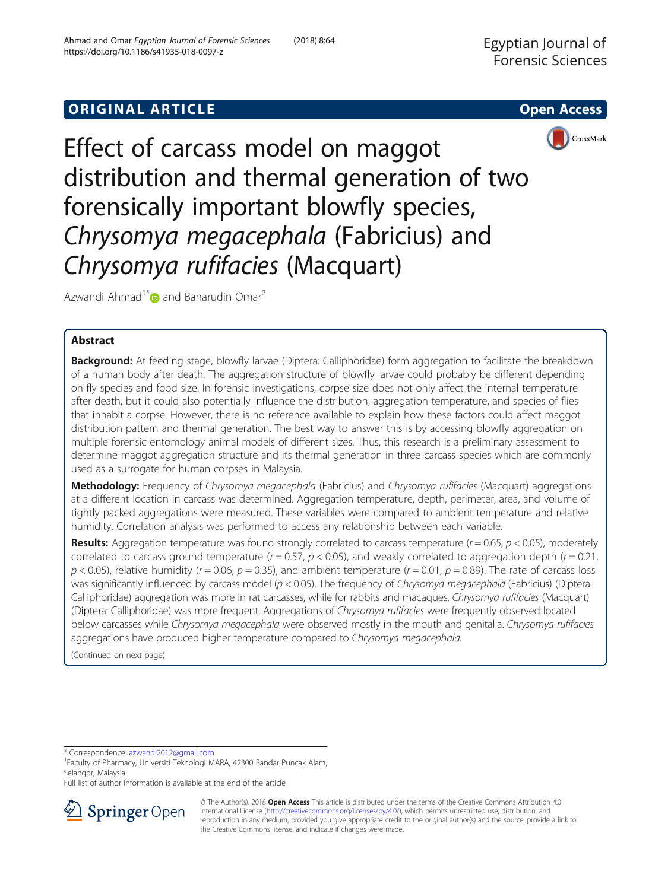# **ORIGINAL ARTICLE CONSERVANCE IN A LOCAL CONSERVANCE IN A LOCAL CONSERVANCE IN A LOCAL CONSERVANCE IN A LOCAL CONS**





Effect of carcass model on maggot distribution and thermal generation of two forensically important blowfly species, Chrysomya megacephala (Fabricius) and Chryso[my](http://orcid.org/0000-0002-2524-447X)a rufifacies (Macquart)

Azwandi Ahmad<sup>1\*</sup> and Baharudin Omar<sup>2</sup>

## Abstract

Background: At feeding stage, blowfly larvae (Diptera: Calliphoridae) form aggregation to facilitate the breakdown of a human body after death. The aggregation structure of blowfly larvae could probably be different depending on fly species and food size. In forensic investigations, corpse size does not only affect the internal temperature after death, but it could also potentially influence the distribution, aggregation temperature, and species of flies that inhabit a corpse. However, there is no reference available to explain how these factors could affect maggot distribution pattern and thermal generation. The best way to answer this is by accessing blowfly aggregation on multiple forensic entomology animal models of different sizes. Thus, this research is a preliminary assessment to determine maggot aggregation structure and its thermal generation in three carcass species which are commonly used as a surrogate for human corpses in Malaysia.

Methodology: Frequency of Chrysomya megacephala (Fabricius) and Chrysomya rufifacies (Macquart) aggregations at a different location in carcass was determined. Aggregation temperature, depth, perimeter, area, and volume of tightly packed aggregations were measured. These variables were compared to ambient temperature and relative humidity. Correlation analysis was performed to access any relationship between each variable.

**Results:** Aggregation temperature was found strongly correlated to carcass temperature ( $r = 0.65$ ,  $p < 0.05$ ), moderately correlated to carcass ground temperature  $(r = 0.57, p < 0.05)$ , and weakly correlated to aggregation depth  $(r = 0.21, p < 0.05)$  $p < 0.05$ ), relative humidity ( $r = 0.06$ ,  $p = 0.35$ ), and ambient temperature ( $r = 0.01$ ,  $p = 0.89$ ). The rate of carcass loss was significantly influenced by carcass model  $(p < 0.05)$ . The frequency of Chrysomya megacephala (Fabricius) (Diptera: Calliphoridae) aggregation was more in rat carcasses, while for rabbits and macaques, Chrysomya rufifacies (Macquart) (Diptera: Calliphoridae) was more frequent. Aggregations of Chrysomya rufifacies were frequently observed located below carcasses while Chrysomya megacephala were observed mostly in the mouth and genitalia. Chrysomya rufifacies aggregations have produced higher temperature compared to Chrysomya megacephala.

(Continued on next page)

\* Correspondence: [azwandi2012@gmail.com](mailto:azwandi2012@gmail.com) <sup>1</sup>

Faculty of Pharmacy, Universiti Teknologi MARA, 42300 Bandar Puncak Alam, Selangor, Malaysia

Full list of author information is available at the end of the article



<sup>©</sup> The Author(s). 2018 Open Access This article is distributed under the terms of the Creative Commons Attribution 4.0 International License ([http://creativecommons.org/licenses/by/4.0/\)](http://creativecommons.org/licenses/by/4.0/), which permits unrestricted use, distribution, and reproduction in any medium, provided you give appropriate credit to the original author(s) and the source, provide a link to the Creative Commons license, and indicate if changes were made.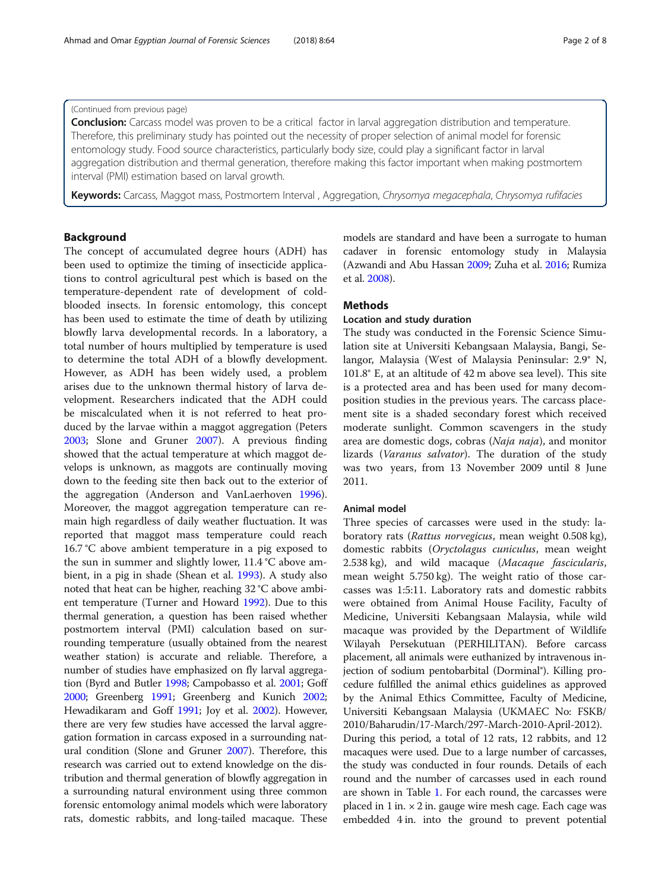## (Continued from previous page)

**Conclusion:** Carcass model was proven to be a critical factor in larval aggregation distribution and temperature. Therefore, this preliminary study has pointed out the necessity of proper selection of animal model for forensic entomology study. Food source characteristics, particularly body size, could play a significant factor in larval aggregation distribution and thermal generation, therefore making this factor important when making postmortem interval (PMI) estimation based on larval growth.

Keywords: Carcass, Maggot mass, Postmortem Interval, Aggregation, Chrysomya megacephala, Chrysomya rufifacies

## Background

The concept of accumulated degree hours (ADH) has been used to optimize the timing of insecticide applications to control agricultural pest which is based on the temperature-dependent rate of development of coldblooded insects. In forensic entomology, this concept has been used to estimate the time of death by utilizing blowfly larva developmental records. In a laboratory, a total number of hours multiplied by temperature is used to determine the total ADH of a blowfly development. However, as ADH has been widely used, a problem arises due to the unknown thermal history of larva development. Researchers indicated that the ADH could be miscalculated when it is not referred to heat produced by the larvae within a maggot aggregation (Peters [2003](#page-7-0); Slone and Gruner [2007\)](#page-7-0). A previous finding showed that the actual temperature at which maggot develops is unknown, as maggots are continually moving down to the feeding site then back out to the exterior of the aggregation (Anderson and VanLaerhoven [1996](#page-7-0)). Moreover, the maggot aggregation temperature can remain high regardless of daily weather fluctuation. It was reported that maggot mass temperature could reach 16.7 °C above ambient temperature in a pig exposed to the sun in summer and slightly lower, 11.4 °C above ambient, in a pig in shade (Shean et al. [1993](#page-7-0)). A study also noted that heat can be higher, reaching 32 °C above ambient temperature (Turner and Howard [1992\)](#page-7-0). Due to this thermal generation, a question has been raised whether postmortem interval (PMI) calculation based on surrounding temperature (usually obtained from the nearest weather station) is accurate and reliable. Therefore, a number of studies have emphasized on fly larval aggregation (Byrd and Butler [1998;](#page-7-0) Campobasso et al. [2001](#page-7-0); Goff [2000;](#page-7-0) Greenberg [1991](#page-7-0); Greenberg and Kunich [2002](#page-7-0); Hewadikaram and Goff [1991;](#page-7-0) Joy et al. [2002\)](#page-7-0). However, there are very few studies have accessed the larval aggregation formation in carcass exposed in a surrounding natural condition (Slone and Gruner [2007\)](#page-7-0). Therefore, this research was carried out to extend knowledge on the distribution and thermal generation of blowfly aggregation in a surrounding natural environment using three common forensic entomology animal models which were laboratory rats, domestic rabbits, and long-tailed macaque. These

models are standard and have been a surrogate to human cadaver in forensic entomology study in Malaysia (Azwandi and Abu Hassan [2009;](#page-7-0) Zuha et al. [2016](#page-7-0); Rumiza et al. [2008](#page-7-0)).

## Methods

## Location and study duration

The study was conducted in the Forensic Science Simulation site at Universiti Kebangsaan Malaysia, Bangi, Selangor, Malaysia (West of Malaysia Peninsular: 2.9° N, 101.8° E, at an altitude of 42 m above sea level). This site is a protected area and has been used for many decomposition studies in the previous years. The carcass placement site is a shaded secondary forest which received moderate sunlight. Common scavengers in the study area are domestic dogs, cobras (Naja naja), and monitor lizards (Varanus salvator). The duration of the study was two years, from 13 November 2009 until 8 June 2011.

## Animal model

Three species of carcasses were used in the study: laboratory rats (Rattus norvegicus, mean weight 0.508 kg), domestic rabbits (Oryctolagus cuniculus, mean weight 2.538 kg), and wild macaque (Macaque fascicularis, mean weight 5.750 kg). The weight ratio of those carcasses was 1:5:11. Laboratory rats and domestic rabbits were obtained from Animal House Facility, Faculty of Medicine, Universiti Kebangsaan Malaysia, while wild macaque was provided by the Department of Wildlife Wilayah Persekutuan (PERHILITAN). Before carcass placement, all animals were euthanized by intravenous injection of sodium pentobarbital (Dorminal®). Killing procedure fulfilled the animal ethics guidelines as approved by the Animal Ethics Committee, Faculty of Medicine, Universiti Kebangsaan Malaysia (UKMAEC No: FSKB/ 2010/Baharudin/17-March/297-March-2010-April-2012). During this period, a total of 12 rats, 12 rabbits, and 12 macaques were used. Due to a large number of carcasses, the study was conducted in four rounds. Details of each round and the number of carcasses used in each round are shown in Table [1](#page-2-0). For each round, the carcasses were placed in  $1$  in.  $\times$  2 in. gauge wire mesh cage. Each cage was

embedded 4 in. into the ground to prevent potential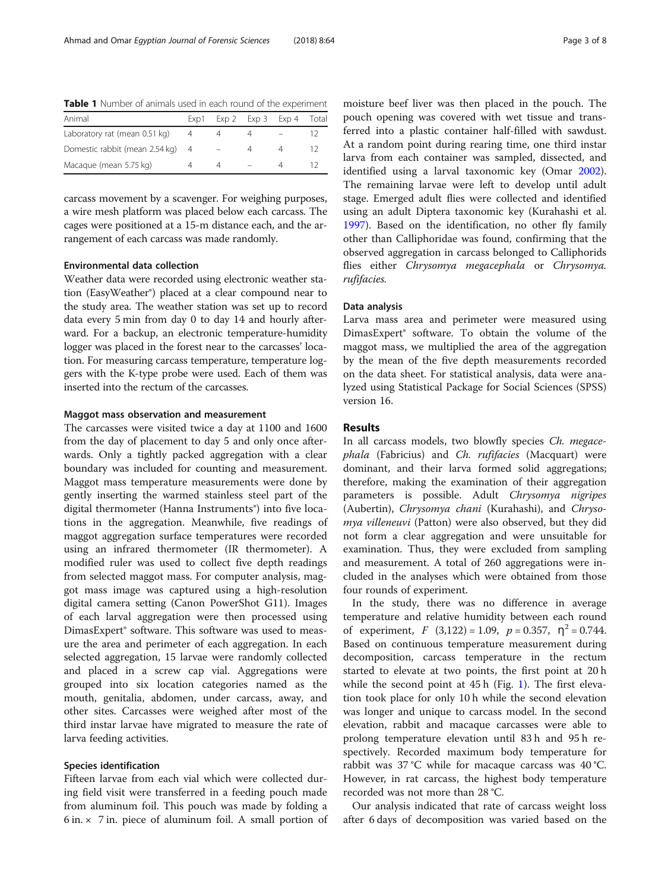<span id="page-2-0"></span>

| <b>Table 1</b> Number of animals used in each round of the experiment |      |  |  |                         |     |  |  |  |  |  |
|-----------------------------------------------------------------------|------|--|--|-------------------------|-----|--|--|--|--|--|
| Animal                                                                | Exp1 |  |  | Exp 2 Exp 3 Exp 4 Total |     |  |  |  |  |  |
| Laboratory rat (mean 0.51 kg)                                         |      |  |  |                         | 12  |  |  |  |  |  |
| Domestic rabbit (mean 2.54 kg) 4                                      |      |  |  | Δ                       | 12. |  |  |  |  |  |
| Macague (mean 5.75 kg)                                                |      |  |  |                         |     |  |  |  |  |  |

carcass movement by a scavenger. For weighing purposes, a wire mesh platform was placed below each carcass. The cages were positioned at a 15-m distance each, and the ar-

rangement of each carcass was made randomly.

#### Environmental data collection

Weather data were recorded using electronic weather station (EasyWeather®) placed at a clear compound near to the study area. The weather station was set up to record data every 5 min from day 0 to day 14 and hourly afterward. For a backup, an electronic temperature-humidity logger was placed in the forest near to the carcasses' location. For measuring carcass temperature, temperature loggers with the K-type probe were used. Each of them was inserted into the rectum of the carcasses.

#### Maggot mass observation and measurement

The carcasses were visited twice a day at 1100 and 1600 from the day of placement to day 5 and only once afterwards. Only a tightly packed aggregation with a clear boundary was included for counting and measurement. Maggot mass temperature measurements were done by gently inserting the warmed stainless steel part of the digital thermometer (Hanna Instruments<sup>®</sup>) into five locations in the aggregation. Meanwhile, five readings of maggot aggregation surface temperatures were recorded using an infrared thermometer (IR thermometer). A modified ruler was used to collect five depth readings from selected maggot mass. For computer analysis, maggot mass image was captured using a high-resolution digital camera setting (Canon PowerShot G11). Images of each larval aggregation were then processed using DimasExpert® software. This software was used to measure the area and perimeter of each aggregation. In each selected aggregation, 15 larvae were randomly collected and placed in a screw cap vial. Aggregations were grouped into six location categories named as the mouth, genitalia, abdomen, under carcass, away, and other sites. Carcasses were weighed after most of the third instar larvae have migrated to measure the rate of larva feeding activities.

## Species identification

Fifteen larvae from each vial which were collected during field visit were transferred in a feeding pouch made from aluminum foil. This pouch was made by folding a  $6$  in.  $\times$  7 in. piece of aluminum foil. A small portion of

moisture beef liver was then placed in the pouch. The pouch opening was covered with wet tissue and transferred into a plastic container half-filled with sawdust. At a random point during rearing time, one third instar larva from each container was sampled, dissected, and identified using a larval taxonomic key (Omar [2002](#page-7-0)). The remaining larvae were left to develop until adult stage. Emerged adult flies were collected and identified using an adult Diptera taxonomic key (Kurahashi et al. [1997](#page-7-0)). Based on the identification, no other fly family other than Calliphoridae was found, confirming that the observed aggregation in carcass belonged to Calliphorids flies either Chrysomya megacephala or Chrysomya. rufifacies.

#### Data analysis

Larva mass area and perimeter were measured using DimasExpert® software. To obtain the volume of the maggot mass, we multiplied the area of the aggregation by the mean of the five depth measurements recorded on the data sheet. For statistical analysis, data were analyzed using Statistical Package for Social Sciences (SPSS) version 16.

### Results

In all carcass models, two blowfly species Ch. megacephala (Fabricius) and Ch. rufifacies (Macquart) were dominant, and their larva formed solid aggregations; therefore, making the examination of their aggregation parameters is possible. Adult Chrysomya nigripes (Aubertin), Chrysomya chani (Kurahashi), and Chrysomya villeneuvi (Patton) were also observed, but they did not form a clear aggregation and were unsuitable for examination. Thus, they were excluded from sampling and measurement. A total of 260 aggregations were included in the analyses which were obtained from those four rounds of experiment.

In the study, there was no difference in average temperature and relative humidity between each round of experiment,  $F(3,122) = 1.09$ ,  $p = 0.357$ ,  $\eta^2 = 0.744$ . Based on continuous temperature measurement during decomposition, carcass temperature in the rectum started to elevate at two points, the first point at 20 h while the second point at  $45 h$  (Fig. [1\)](#page-3-0). The first elevation took place for only 10 h while the second elevation was longer and unique to carcass model. In the second elevation, rabbit and macaque carcasses were able to prolong temperature elevation until 83 h and 95 h respectively. Recorded maximum body temperature for rabbit was 37 °C while for macaque carcass was 40 °C. However, in rat carcass, the highest body temperature recorded was not more than 28 °C.

Our analysis indicated that rate of carcass weight loss after 6 days of decomposition was varied based on the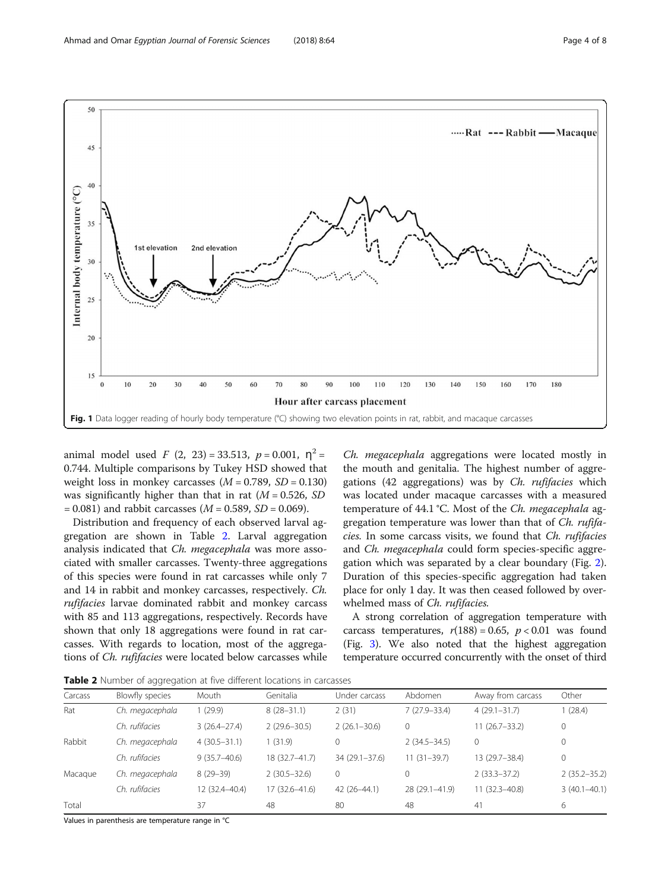<span id="page-3-0"></span>

animal model used  $F(2, 23) = 33.513$ ,  $p = 0.001$ ,  $\eta^2 =$ 0.744. Multiple comparisons by Tukey HSD showed that weight loss in monkey carcasses  $(M = 0.789, SD = 0.130)$ was significantly higher than that in rat  $(M = 0.526, SD)$  $= 0.081$ ) and rabbit carcasses ( $M = 0.589$ ,  $SD = 0.069$ ).

Distribution and frequency of each observed larval aggregation are shown in Table 2. Larval aggregation analysis indicated that Ch. megacephala was more associated with smaller carcasses. Twenty-three aggregations of this species were found in rat carcasses while only 7 and 14 in rabbit and monkey carcasses, respectively. Ch. rufifacies larvae dominated rabbit and monkey carcass with 85 and 113 aggregations, respectively. Records have shown that only 18 aggregations were found in rat carcasses. With regards to location, most of the aggregations of Ch. rufifacies were located below carcasses while

Ch. megacephala aggregations were located mostly in the mouth and genitalia. The highest number of aggregations (42 aggregations) was by Ch. rufifacies which was located under macaque carcasses with a measured temperature of 44.1 °C. Most of the Ch. megacephala aggregation temperature was lower than that of Ch. rufifacies. In some carcass visits, we found that Ch. rufifacies and Ch. megacephala could form species-specific aggregation which was separated by a clear boundary (Fig. [2](#page-4-0)). Duration of this species-specific aggregation had taken place for only 1 day. It was then ceased followed by overwhelmed mass of Ch. rufifacies.

A strong correlation of aggregation temperature with carcass temperatures,  $r(188) = 0.65$ ,  $p < 0.01$  was found (Fig. [3](#page-5-0)). We also noted that the highest aggregation temperature occurred concurrently with the onset of third

Table 2 Number of aggregation at five different locations in carcasses

| Carcass | Blowfly species | Mouth            | Genitalia        | Under carcass     | Abdomen          | Away from carcass | Other            |
|---------|-----------------|------------------|------------------|-------------------|------------------|-------------------|------------------|
| Rat     | Ch. megacephala | 1(29.9)          | $8(28-31.1)$     | 2(31)             | $7(27.9 - 33.4)$ | $4(29.1 - 31.7)$  | 1(28.4)          |
|         | Ch. rufifacies  | $3(26.4 - 27.4)$ | $2(29.6 - 30.5)$ | $2(26.1 - 30.6)$  | $\mathbf 0$      | $11(26.7-33.2)$   | $\mathbf{0}$     |
| Rabbit  | Ch. megacephala | $4(30.5-31.1)$   | (31.9)           | 0                 | $2(34.5 - 34.5)$ | $\Omega$          | $\mathbf 0$      |
|         | Ch. rufifacies  | $9(35.7 - 40.6)$ | 18 (32.7-41.7)   | $34(29.1 - 37.6)$ | $11(31-39.7)$    | 13 (29.7-38.4)    | $\mathbf{0}$     |
| Macague | Ch. megacephala | $8(29-39)$       | $2(30.5 - 32.6)$ | 0                 | $\Omega$         | $2(33.3 - 37.2)$  | $2(35.2 - 35.2)$ |
|         | Ch. rufifacies  | 12 (32.4-40.4)   | 17 (32.6–41.6)   | 42 (26-44.1)      | 28 (29.1-41.9)   | $11(32.3 - 40.8)$ | $3(40.1 - 40.1)$ |
| Total   |                 | 37               | 48               | 80                | 48               | 41                | 6                |

Values in parenthesis are temperature range in °C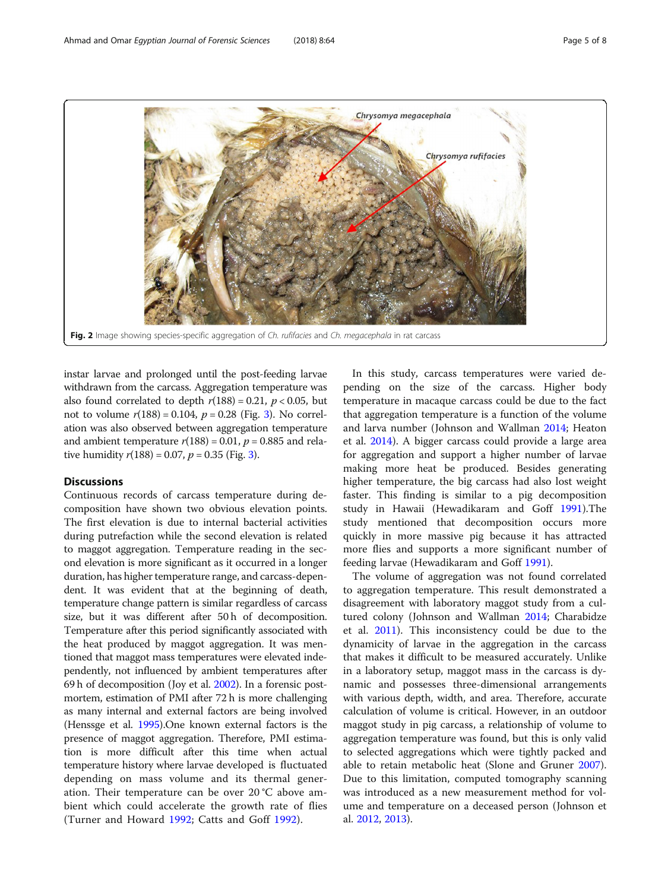<span id="page-4-0"></span>

instar larvae and prolonged until the post-feeding larvae withdrawn from the carcass. Aggregation temperature was also found correlated to depth  $r(188) = 0.21$ ,  $p < 0.05$ , but not to volume  $r(188) = 0.104$ ,  $p = 0.28$  (Fig. [3](#page-5-0)). No correlation was also observed between aggregation temperature and ambient temperature  $r(188) = 0.01$ ,  $p = 0.885$  and relative humidity  $r(188) = 0.07$ ,  $p = 0.35$  $p = 0.35$  $p = 0.35$  (Fig. 3).

## **Discussions**

Continuous records of carcass temperature during decomposition have shown two obvious elevation points. The first elevation is due to internal bacterial activities during putrefaction while the second elevation is related to maggot aggregation. Temperature reading in the second elevation is more significant as it occurred in a longer duration, has higher temperature range, and carcass-dependent. It was evident that at the beginning of death, temperature change pattern is similar regardless of carcass size, but it was different after 50 h of decomposition. Temperature after this period significantly associated with the heat produced by maggot aggregation. It was mentioned that maggot mass temperatures were elevated independently, not influenced by ambient temperatures after 69 h of decomposition (Joy et al. [2002](#page-7-0)). In a forensic postmortem, estimation of PMI after 72 h is more challenging as many internal and external factors are being involved (Henssge et al. [1995\)](#page-7-0).One known external factors is the presence of maggot aggregation. Therefore, PMI estimation is more difficult after this time when actual temperature history where larvae developed is fluctuated depending on mass volume and its thermal generation. Their temperature can be over 20 °C above ambient which could accelerate the growth rate of flies (Turner and Howard [1992](#page-7-0); Catts and Goff [1992](#page-7-0)).

In this study, carcass temperatures were varied depending on the size of the carcass. Higher body temperature in macaque carcass could be due to the fact that aggregation temperature is a function of the volume and larva number (Johnson and Wallman [2014;](#page-7-0) Heaton et al. [2014](#page-7-0)). A bigger carcass could provide a large area for aggregation and support a higher number of larvae making more heat be produced. Besides generating higher temperature, the big carcass had also lost weight faster. This finding is similar to a pig decomposition study in Hawaii (Hewadikaram and Goff [1991](#page-7-0)).The study mentioned that decomposition occurs more quickly in more massive pig because it has attracted more flies and supports a more significant number of feeding larvae (Hewadikaram and Goff [1991\)](#page-7-0).

The volume of aggregation was not found correlated to aggregation temperature. This result demonstrated a disagreement with laboratory maggot study from a cultured colony (Johnson and Wallman [2014;](#page-7-0) Charabidze et al. [2011](#page-7-0)). This inconsistency could be due to the dynamicity of larvae in the aggregation in the carcass that makes it difficult to be measured accurately. Unlike in a laboratory setup, maggot mass in the carcass is dynamic and possesses three-dimensional arrangements with various depth, width, and area. Therefore, accurate calculation of volume is critical. However, in an outdoor maggot study in pig carcass, a relationship of volume to aggregation temperature was found, but this is only valid to selected aggregations which were tightly packed and able to retain metabolic heat (Slone and Gruner [2007](#page-7-0)). Due to this limitation, computed tomography scanning was introduced as a new measurement method for volume and temperature on a deceased person (Johnson et al. [2012](#page-7-0), [2013](#page-7-0)).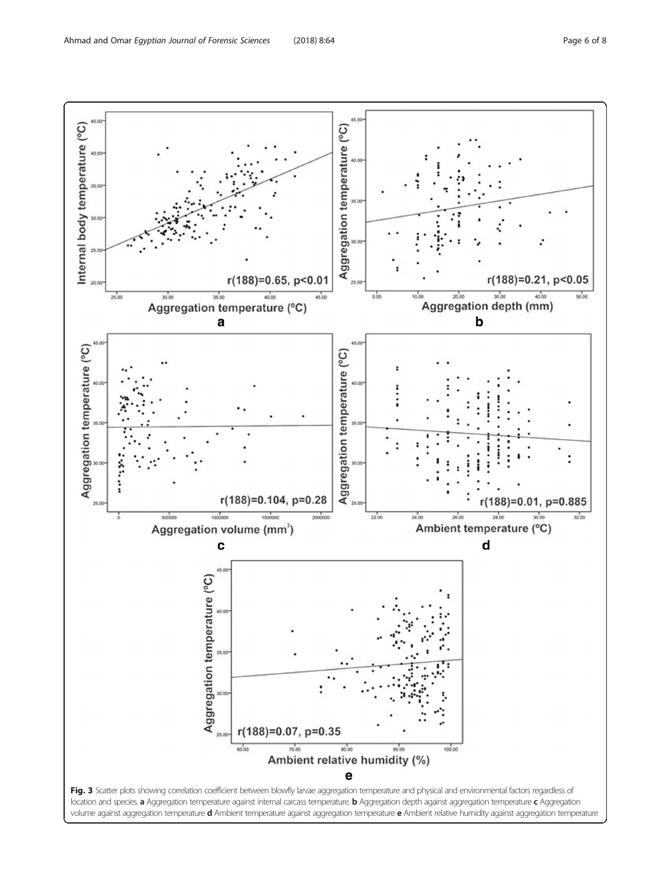<span id="page-5-0"></span>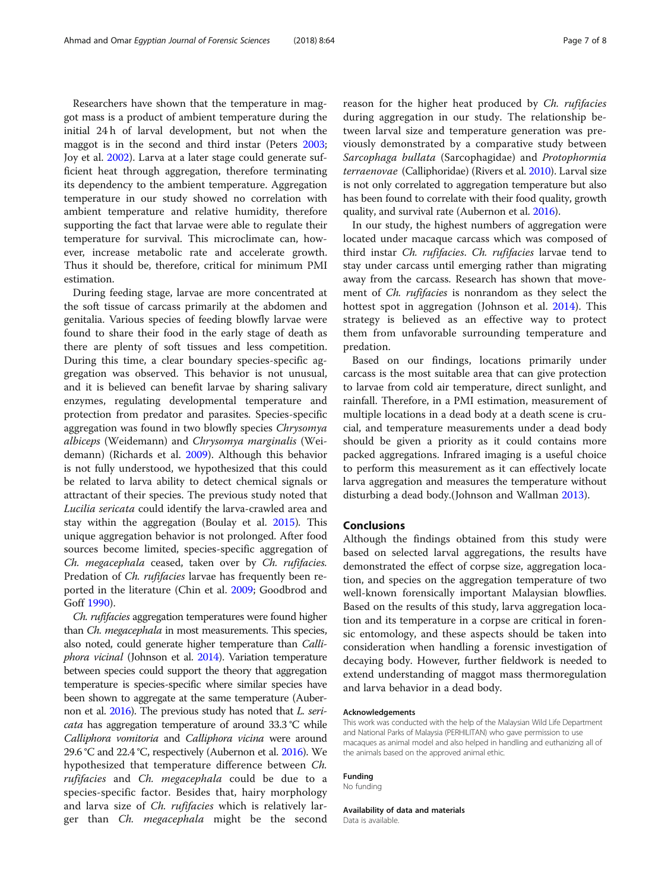Researchers have shown that the temperature in maggot mass is a product of ambient temperature during the initial 24 h of larval development, but not when the maggot is in the second and third instar (Peters [2003](#page-7-0); Joy et al. [2002\)](#page-7-0). Larva at a later stage could generate sufficient heat through aggregation, therefore terminating its dependency to the ambient temperature. Aggregation temperature in our study showed no correlation with ambient temperature and relative humidity, therefore supporting the fact that larvae were able to regulate their temperature for survival. This microclimate can, however, increase metabolic rate and accelerate growth. Thus it should be, therefore, critical for minimum PMI estimation.

During feeding stage, larvae are more concentrated at the soft tissue of carcass primarily at the abdomen and genitalia. Various species of feeding blowfly larvae were found to share their food in the early stage of death as there are plenty of soft tissues and less competition. During this time, a clear boundary species-specific aggregation was observed. This behavior is not unusual, and it is believed can benefit larvae by sharing salivary enzymes, regulating developmental temperature and protection from predator and parasites. Species-specific aggregation was found in two blowfly species Chrysomya albiceps (Weidemann) and Chrysomya marginalis (Weidemann) (Richards et al. [2009](#page-7-0)). Although this behavior is not fully understood, we hypothesized that this could be related to larva ability to detect chemical signals or attractant of their species. The previous study noted that Lucilia sericata could identify the larva-crawled area and stay within the aggregation (Boulay et al. [2015\)](#page-7-0). This unique aggregation behavior is not prolonged. After food sources become limited, species-specific aggregation of Ch. megacephala ceased, taken over by Ch. rufifacies. Predation of Ch. rufifacies larvae has frequently been reported in the literature (Chin et al. [2009;](#page-7-0) Goodbrod and Goff [1990](#page-7-0)).

Ch. rufifacies aggregation temperatures were found higher than Ch. megacephala in most measurements. This species, also noted, could generate higher temperature than Calliphora vicinal (Johnson et al. [2014](#page-7-0)). Variation temperature between species could support the theory that aggregation temperature is species-specific where similar species have been shown to aggregate at the same temperature (Aubernon et al. [2016](#page-7-0)). The previous study has noted that L. sericata has aggregation temperature of around 33.3 °C while Calliphora vomitoria and Calliphora vicina were around 29.6 °C and 22.4 °C, respectively (Aubernon et al. [2016\)](#page-7-0). We hypothesized that temperature difference between Ch. rufifacies and Ch. megacephala could be due to a species-specific factor. Besides that, hairy morphology and larva size of *Ch. rufifacies* which is relatively larger than Ch. megacephala might be the second reason for the higher heat produced by Ch. rufifacies during aggregation in our study. The relationship between larval size and temperature generation was previously demonstrated by a comparative study between Sarcophaga bullata (Sarcophagidae) and Protophormia terraenovae (Calliphoridae) (Rivers et al. [2010\)](#page-7-0). Larval size is not only correlated to aggregation temperature but also has been found to correlate with their food quality, growth quality, and survival rate (Aubernon et al. [2016](#page-7-0)).

In our study, the highest numbers of aggregation were located under macaque carcass which was composed of third instar Ch. rufifacies. Ch. rufifacies larvae tend to stay under carcass until emerging rather than migrating away from the carcass. Research has shown that movement of Ch. rufifacies is nonrandom as they select the hottest spot in aggregation (Johnson et al. [2014\)](#page-7-0). This strategy is believed as an effective way to protect them from unfavorable surrounding temperature and predation.

Based on our findings, locations primarily under carcass is the most suitable area that can give protection to larvae from cold air temperature, direct sunlight, and rainfall. Therefore, in a PMI estimation, measurement of multiple locations in a dead body at a death scene is crucial, and temperature measurements under a dead body should be given a priority as it could contains more packed aggregations. Infrared imaging is a useful choice to perform this measurement as it can effectively locate larva aggregation and measures the temperature without disturbing a dead body.(Johnson and Wallman [2013\)](#page-7-0).

## Conclusions

Although the findings obtained from this study were based on selected larval aggregations, the results have demonstrated the effect of corpse size, aggregation location, and species on the aggregation temperature of two well-known forensically important Malaysian blowflies. Based on the results of this study, larva aggregation location and its temperature in a corpse are critical in forensic entomology, and these aspects should be taken into consideration when handling a forensic investigation of decaying body. However, further fieldwork is needed to extend understanding of maggot mass thermoregulation and larva behavior in a dead body.

#### Acknowledgements

This work was conducted with the help of the Malaysian Wild Life Department and National Parks of Malaysia (PERHILITAN) who gave permission to use macaques as animal model and also helped in handling and euthanizing all of the animals based on the approved animal ethic.

## Funding

No funding

Availability of data and materials Data is available.